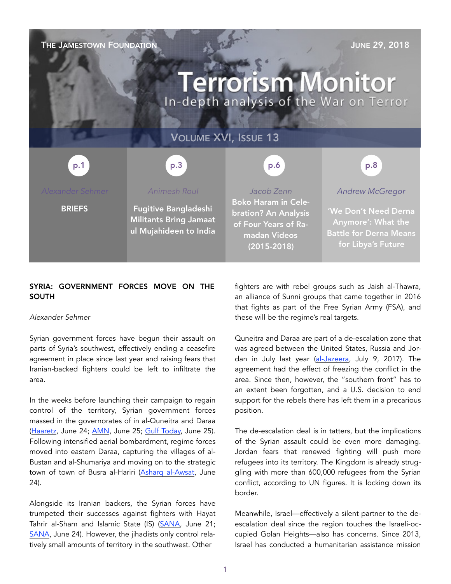### THE JAMESTOWN FOUNDATION **THE SECTION** SECTION AND THE SECTION AND THE 29, 2018

# **Terrorism Monitor** In-depth analysis of the War on Terror

### VOLUME XVI, ISSUE 13

p.3 p.1 p.1 p.3 p.3 p.6 p.6 p.8 p.8

**BRIEFS** 

*Animesh Roul* 

Fugitive Bangladeshi Militants Bring Jamaat ul Mujahideen to India

*Jacob Zenn*  Boko Haram in Celebration? An Analysis of Four Years of Ramadan Videos (2015-2018)

*Andrew McGregor* 

'We Don't Need Derna Anymore': What the Battle for Derna Means for Libya's Future

#### SYRIA: GOVERNMENT FORCES MOVE ON THE SOUTH

#### *Alexander Sehmer*

Syrian government forces have begun their assault on parts of Syria's southwest, effectively ending a ceasefire agreement in place since last year and raising fears that Iranian-backed fighters could be left to infiltrate the area.

In the weeks before launching their campaign to regain control of the territory, Syrian government forces massed in the governorates of in al-Quneitra and Daraa ([Haaretz](https://www.haaretz.com/middle-east-news/syria/syria-pounds-rebel-areas-in-south-thousands-flee-to-border-zone-1.6201139), June 24; [AMN,](https://www.almasdarnews.com/article/map-update-of-southwest-syria-battle/) June 25; [Gulf Today](http://gulftoday.ae/portal/663dd38f-d337-46ea-944f-fb87c513403a.aspx), June 25). Following intensified aerial bombardment, regime forces moved into eastern Daraa, capturing the villages of al-Bustan and al-Shumariya and moving on to the strategic town of town of Busra al-Hariri ([Asharq al-Awsat,](https://aawsat.com/english/home/article/1310266/syria-5-commanders-20-members-regime-forces-killed-east-daraa) June 24).

Alongside its Iranian backers, the Syrian forces have trumpeted their successes against fighters with Hayat Tahrir al-Sham and Islamic State (IS) [\(SANA](https://sana.sy/en/?p=140594), June 21; [SANA](https://sana.sy/en/?p=140791), June 24). However, the jihadists only control relatively small amounts of territory in the southwest. Other

fighters are with rebel groups such as Jaish al-Thawra, an alliance of Sunni groups that came together in 2016 that fights as part of the Free Syrian Army (FSA), and these will be the regime's real targets.

Quneitra and Daraa are part of a de-escalation zone that was agreed between the United States, Russia and Jordan in July last year ([al-Jazeera,](https://www.aljazeera.com/news/2017/07/syria-ceasefire-deraa-suweida-quneitra-170709074305852.html) July 9, 2017). The agreement had the effect of freezing the conflict in the area. Since then, however, the "southern front" has to an extent been forgotten, and a U.S. decision to end support for the rebels there has left them in a precarious position.

The de-escalation deal is in tatters, but the implications of the Syrian assault could be even more damaging. Jordan fears that renewed fighting will push more refugees into its territory. The Kingdom is already struggling with more than 600,000 refugees from the Syrian conflict, according to UN figures. It is locking down its border.

Meanwhile, Israel—effectively a silent partner to the deescalation deal since the region touches the Israeli-occupied Golan Heights—also has concerns. Since 2013, Israel has conducted a humanitarian assistance mission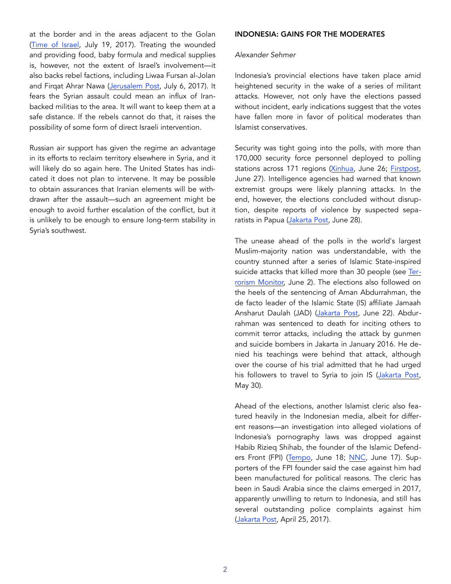at the border and in the areas adjacent to the Golan ([Time of Israel](https://www.timesofisrael.com/operation-good-neighbor-israels-massive-humanitarian-aid-to-syria-revealed/), July 19, 2017). Treating the wounded and providing food, baby formula and medical supplies is, however, not the extent of Israel's involvement—it also backs rebel factions, including Liwaa Fursan al-Jolan and Firqat Ahrar Nawa ([Jerusalem Post,](https://www.jpost.com/International/Behind-the-smoke-screen-of-Israeli-Syrian-rebel-links-499005) July 6, 2017). It fears the Syrian assault could mean an influx of Iranbacked militias to the area. It will want to keep them at a safe distance. If the rebels cannot do that, it raises the possibility of some form of direct Israeli intervention.

Russian air support has given the regime an advantage in its efforts to reclaim territory elsewhere in Syria, and it will likely do so again here. The United States has indicated it does not plan to intervene. It may be possible to obtain assurances that Iranian elements will be withdrawn after the assault—such an agreement might be enough to avoid further escalation of the conflict, but it is unlikely to be enough to ensure long-term stability in Syria's southwest.

#### INDONESIA: GAINS FOR THE MODERATES

#### *Alexander Sehmer*

Indonesia's provincial elections have taken place amid heightened security in the wake of a series of militant attacks. However, not only have the elections passed without incident, early indications suggest that the votes have fallen more in favor of political moderates than Islamist conservatives.

Security was tight going into the polls, with more than 170,000 security force personnel deployed to polling stations across 171 regions ([Xinhua,](http://www.xinhuanet.com/english/2018-06/26/c_137282140.htm) June 26; [Firstpost,](https://www.firstpost.com/world/indonesia-on-high-alert-as-voting-starts-in-regional-elections-4605041.html) June 27). Intelligence agencies had warned that known extremist groups were likely planning attacks. In the end, however, the elections concluded without disruption, despite reports of violence by suspected sepa-ratists in Papua ([Jakarta Post,](http://www.thejakartapost.com/news/2018/06/28/district-head-two-police-officers-killed-in-shooting-attack-in-papua.html) June 28).

The unease ahead of the polls in the world's largest Muslim-majority nation was understandable, with the country stunned after a series of Islamic State-inspired suicide attacks that killed more than 30 people (see [Ter](https://jamestown.org/program/dangerous-amateurs-indonesias-new-generation-of-jihadists/)[rorism Monitor,](https://jamestown.org/program/dangerous-amateurs-indonesias-new-generation-of-jihadists/) June 2). The elections also followed on the heels of the sentencing of Aman Abdurrahman, the de facto leader of the Islamic State (IS) affiliate Jamaah Ansharut Daulah (JAD) ([Jakarta Post](http://www.thejakartapost.com/news/2018/06/22/pro-is-cleric-gets-death-for-inspiring-terror-attacks-in-indonesia.html), June 22). Abdurrahman was sentenced to death for inciting others to commit terror attacks, including the attack by gunmen and suicide bombers in Jakarta in January 2016. He denied his teachings were behind that attack, although over the course of his trial admitted that he had urged his followers to travel to Syria to join IS ([Jakarta Post,](http://www.thejakartapost.com/news/2018/05/30/prosecutors-insist-on-death-sentence-for-pro-is-cleric.html) May 30).

Ahead of the elections, another Islamist cleric also featured heavily in the Indonesian media, albeit for different reasons—an investigation into alleged violations of Indonesia's pornography laws was dropped against Habib Rizieq Shihab, the founder of the Islamic Defend-ers Front (FPI) ([Tempo,](https://nasional.tempo.co/read/1098899/kronologi-kasus-chat-pornografi-rizieq-shihab-hingga-sp3) June 18; [NNC,](http://www.en.netralnews.com/news/currentnews/read/21900/house.speaker.on.issuance.of.investigation.termination.warrant.for.habib.rizieq.case) June 17). Supporters of the FPI founder said the case against him had been manufactured for political reasons. The cleric has been in Saudi Arabia since the claims emerged in 2017, apparently unwilling to return to Indonesia, and still has several outstanding police complaints against him ([Jakarta Post,](http://www.thejakartapost.com/news/2017/04/25/fpi-leader-rizieq-firza-no-show-for-police-questioning-on-sexting-scandal.html) April 25, 2017).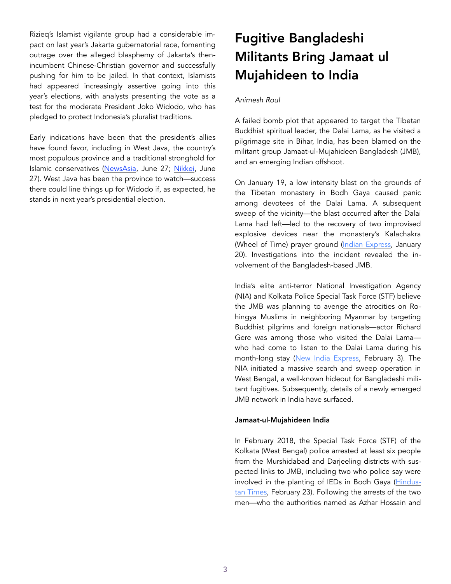Rizieq's Islamist vigilante group had a considerable impact on last year's Jakarta gubernatorial race, fomenting outrage over the alleged blasphemy of Jakarta's thenincumbent Chinese-Christian governor and successfully pushing for him to be jailed. In that context, Islamists had appeared increasingly assertive going into this year's elections, with analysts presenting the vote as a test for the moderate President Joko Widodo, who has pledged to protect Indonesia's pluralist traditions.

Early indications have been that the president's allies have found favor, including in West Java, the country's most populous province and a traditional stronghold for Islamic conservatives [\(NewsAsia,](https://www.channelnewsasia.com/news/asia/unofficial-counts-show-regional-indonesia-polls-favouring-10473972) June 27; [Nikkei](https://asia.nikkei.com/Politics/Ruling-coalition-candidates-win-key-Central-and-West-Java-exit-poll), June 27). West Java has been the province to watch—success there could line things up for Widodo if, as expected, he stands in next year's presidential election.

## Fugitive Bangladeshi Militants Bring Jamaat ul Mujahideen to India

#### *Animesh Roul*

A failed bomb plot that appeared to target the Tibetan Buddhist spiritual leader, the Dalai Lama, as he visited a pilgrimage site in Bihar, India, has been blamed on the militant group Jamaat-ul-Mujahideen Bangladesh (JMB), and an emerging Indian offshoot.

On January 19, a low intensity blast on the grounds of the Tibetan monastery in Bodh Gaya caused panic among devotees of the Dalai Lama. A subsequent sweep of the vicinity—the blast occurred after the Dalai Lama had left—led to the recovery of two improvised explosive devices near the monastery's Kalachakra (Wheel of Time) prayer ground ([Indian Express,](https://indianexpress.com/article/india/two-bombs-found-in-bodh-gaya-amid-tight-security-for-the-dalai-lama/) January 20). Investigations into the incident revealed the involvement of the Bangladesh-based JMB.

India's elite anti-terror National Investigation Agency (NIA) and Kolkata Police Special Task Force (STF) believe the JMB was planning to avenge the atrocities on Rohingya Muslims in neighboring Myanmar by targeting Buddhist pilgrims and foreign nationals—actor Richard Gere was among those who visited the Dalai Lama who had come to listen to the Dalai Lama during his month-long stay [\(New India Express,](http://www.newindianexpress.com/nation/2018/feb/03/buddhist-pilgrimages-on-jmb-cross-hairs-to-avenge-rohingya-genocide-1767741.html) February 3). The NIA initiated a massive search and sweep operation in West Bengal, a well-known hideout for Bangladeshi militant fugitives. Subsequently, details of a newly emerged JMB network in India have surfaced.

#### Jamaat-ul-Mujahideen India

In February 2018, the Special Task Force (STF) of the Kolkata (West Bengal) police arrested at least six people from the Murshidabad and Darjeeling districts with suspected links to JMB, including two who police say were involved in the planting of IEDs in Bodh Gaya ([Hindus](https://www.hindustantimes.com/india-news/bengal-police-arrest-a-suspected-jmb-militant-sixth-in-a-month/story-pXYTVfO6OC3ACfHWUb1LSK.html)[tan Times,](https://www.hindustantimes.com/india-news/bengal-police-arrest-a-suspected-jmb-militant-sixth-in-a-month/story-pXYTVfO6OC3ACfHWUb1LSK.html) February 23). Following the arrests of the two men—who the authorities named as Azhar Hossain and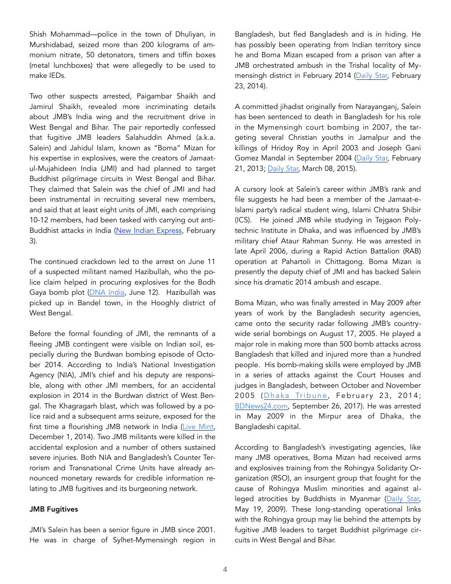Shish Mohammad—police in the town of Dhuliyan, in Murshidabad, seized more than 200 kilograms of ammonium nitrate, 50 detonators, timers and tiffin boxes (metal lunchboxes) that were allegedly to be used to make IEDs.

Two other suspects arrested, Paigambar Shaikh and Jamirul Shaikh, revealed more incriminating details about JMB's India wing and the recruitment drive in West Bengal and Bihar. The pair reportedly confessed that fugitive JMB leaders Salahuddin Ahmed (a.k.a. Salein) and Jahidul Islam, known as "Boma" Mizan for his expertise in explosives, were the creators of Jamaatul-Mujahideen India (JMI) and had planned to target Buddhist pilgrimage circuits in West Bengal and Bihar. They claimed that Salein was the chief of JMI and had been instrumental in recruiting several new members, and said that at least eight units of JMI, each comprising 10-12 members, had been tasked with carrying out anti-Buddhist attacks in India ([New Indian Express,](http://www.newindianexpress.com/nation/2018/feb/03/buddhist-pilgrimages-on-jmb-cross-hairs-to-avenge-rohingya-genocide-1767741.html) February 3).

The continued crackdown led to the arrest on June 11 of a suspected militant named Hazibullah, who the police claim helped in procuring explosives for the Bodh Gaya bomb plot [\(DNA India](http://www.dnaindia.com/india/report-west-bengal-jamaat-ul-mujahideen-bangladesh-terrorist-arrested-from-bandel-railway-station-2624310), June 12). Hazibullah was picked up in Bandel town, in the Hooghly district of West Bengal.

Before the formal founding of JMI, the remnants of a fleeing JMB contingent were visible on Indian soil, especially during the Burdwan bombing episode of October 2014. According to India's National Investigation Agency (NIA), JMI's chief and his deputy are responsible, along with other JMI members, for an accidental explosion in 2014 in the Burdwan district of West Bengal. The Khagragarh blast, which was followed by a police raid and a subsequent arms seizure, exposed for the first time a flourishing JMB network in India ([Live Mint,](https://www.livemint.com/Politics/5hnC9iTcAQ0Jnvq4Sta8PM/Burdwan-blast-case-Bangladesh-arrests-3-more-suspects.html) December 1, 2014). Two JMB militants were killed in the accidental explosion and a number of others sustained severe injuries. Both NIA and Bangladesh's Counter Terrorism and Transnational Crime Units have already announced monetary rewards for credible information relating to JMB fugitives and its burgeoning network.

#### JMB Fugitives

JMI's Salein has been a senior figure in JMB since 2001. He was in charge of Sylhet-Mymensingh region in Bangladesh, but fled Bangladesh and is in hiding. He has possibly been operating from Indian territory since he and Boma Mizan escaped from a prison van after a JMB orchestrated ambush in the Trishal locality of Mymensingh district in February 2014 ([Daily Star,](https://www.thedailystar.net/cop-killed-2-condemned-jmb-men-snatched-12639) February 23, 2014).

A committed jihadist originally from Narayanganj, Salein has been sentenced to death in Bangladesh for his role in the Mymensingh court bombing in 2007, the targeting several Christian youths in Jamalpur and the killings of Hridoy Roy in April 2003 and Joseph Gani Gomez Mandal in September 2004 ([Daily Star,](https://www.thedailystar.net/news-detail-269905) February 21, 2013; [Daily Star,](https://www.thedailystar.net/an-attacker-of-humayun-azad-12725) March 08, 2015).

A cursory look at Salein's career within JMB's rank and file suggests he had been a member of the Jamaat-e-Islami party's radical student wing, Islami Chhatra Shibir (ICS). He joined JMB while studying in Tejgaon Polytechnic Institute in Dhaka, and was influenced by JMB's military chief Ataur Rahman Sunny. He was arrested in late April 2006, during a Rapid Action Battalion (RAB) operation at Pahartoli in Chittagong. Boma Mizan is presently the deputy chief of JMI and has backed Salein since his dramatic 2014 ambush and escape.

Boma Mizan, who was finally arrested in May 2009 after years of work by the Bangladesh security agencies, came onto the security radar following JMB's countrywide serial bombings on August 17, 2005. He played a major role in making more than 500 bomb attacks across Bangladesh that killed and injured more than a hundred people. His bomb-making skills were employed by JMB in a series of attacks against the Court Houses and judges in Bangladesh, between October and November 2005 (Dhaka Tribune, February 23, 2014; [BDNews24.com,](https://bdnews24.com/bangladesh/2017/09/26/chittagong-court-attack-fugitive-jmb-leader-boma-mizan-two-others-convicted-in-2005-attempted-bombing) September 26, 2017). He was arrested in May 2009 in the Mirpur area of Dhaka, the Bangladeshi capital.

According to Bangladesh's investigating agencies, like many JMB operatives, Boma Mizan had received arms and explosives training from the Rohingya Solidarity Organization (RSO), an insurgent group that fought for the cause of Rohingya Muslim minorities and against al-leged atrocities by Buddhists in Myanmar ([Daily Star,](https://www.thedailystar.net/news-detail-88849) May 19, 2009). These long-standing operational links with the Rohingya group may lie behind the attempts by fugitive JMB leaders to target Buddhist pilgrimage circuits in West Bengal and Bihar.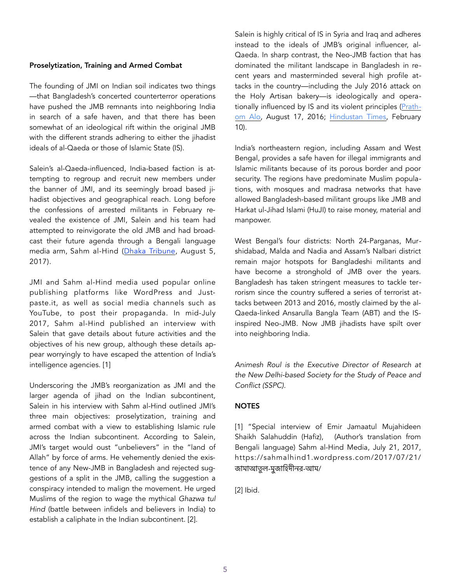#### Proselytization, Training and Armed Combat

The founding of JMI on Indian soil indicates two things —that Bangladesh's concerted counterterror operations have pushed the JMB remnants into neighboring India in search of a safe haven, and that there has been somewhat of an ideological rift within the original JMB with the different strands adhering to either the jihadist ideals of al-Qaeda or those of Islamic State (IS).

Salein's al-Qaeda-influenced, India-based faction is attempting to regroup and recruit new members under the banner of JMI, and its seemingly broad based jihadist objectives and geographical reach. Long before the confessions of arrested militants in February revealed the existence of JMI, Salein and his team had attempted to reinvigorate the old JMB and had broadcast their future agenda through a Bengali language media arm, Sahm al-Hind [\(Dhaka Tribune](https://www.dhakatribune.com/bangladesh/crime/2017/08/03/escaped-jmb-leader-now-major-headache-bangladesh-india/), August 5, 2017).

JMI and Sahm al-Hind media used popular online publishing platforms like WordPress and Justpaste.it, as well as social media channels such as YouTube, to post their propaganda. In mid-July 2017, Sahm al-Hind published an interview with Salein that gave details about future activities and the objectives of his new group, although these details appear worryingly to have escaped the attention of India's intelligence agencies. [1]

Underscoring the JMB's reorganization as JMI and the larger agenda of jihad on the Indian subcontinent, Salein in his interview with Sahm al-Hind outlined JMI's three main objectives: proselytization, training and armed combat with a view to establishing Islamic rule across the Indian subcontinent. According to Salein, JMI's target would oust "unbelievers" in the "land of Allah" by force of arms. He vehemently denied the existence of any New-JMB in Bangladesh and rejected suggestions of a split in the JMB, calling the suggestion a conspiracy intended to malign the movement. He urged Muslims of the region to wage the mythical *Ghazwa tul Hind* (battle between infidels and believers in India) to establish a caliphate in the Indian subcontinent. [2].

Salein is highly critical of IS in Syria and Iraq and adheres instead to the ideals of JMB's original influencer, al-Qaeda. In sharp contrast, the Neo-JMB faction that has dominated the militant landscape in Bangladesh in recent years and masterminded several high profile attacks in the country—including the July 2016 attack on the Holy Artisan bakery—is ideologically and operationally influenced by IS and its violent principles ([Prath](http://en.prothomalo.com/bangladesh/news/116861/JMB-resurfaces-menacingly-after-11-years)[om Alo,](http://en.prothomalo.com/bangladesh/news/116861/JMB-resurfaces-menacingly-after-11-years) August 17, 2016; [Hindustan Times,](https://www.hindustantimes.com/kolkata/bangladesh-s-most-wanted-terror-duo-launches-indian-unit/story-Wc5tptQVsyXSRVoJVXtYWM.html) February 10).

India's northeastern region, including Assam and West Bengal, provides a safe haven for illegal immigrants and Islamic militants because of its porous border and poor security. The regions have predominate Muslim populations, with mosques and madrasa networks that have allowed Bangladesh-based militant groups like JMB and Harkat ul-Jihad Islami (HuJI) to raise money, material and manpower.

West Bengal's four districts: North 24-Parganas, Murshidabad, Malda and Nadia and Assam's Nalbari district remain major hotspots for Bangladeshi militants and have become a stronghold of JMB over the years. Bangladesh has taken stringent measures to tackle terrorism since the country suffered a series of terrorist attacks between 2013 and 2016, mostly claimed by the al-Qaeda-linked Ansarulla Bangla Team (ABT) and the ISinspired Neo-JMB. Now JMB jihadists have spilt over into neighboring India.

*Animesh Roul is the Executive Director of Research at the New Delhi-based Society for the Study of Peace and Conflict (SSPC).* 

#### **NOTES**

[1] "Special interview of Emir Jamaatul Mujahideen Shaikh Salahuddin (Hafiz), (Author's translation from Bengali language) Sahm al-Hind Media, July 21, 2017, https://sahmalhind1.wordpress.com/2017/07/21/ জামাআতুল-মুজাহিদীনর-আম/

[2] Ibid.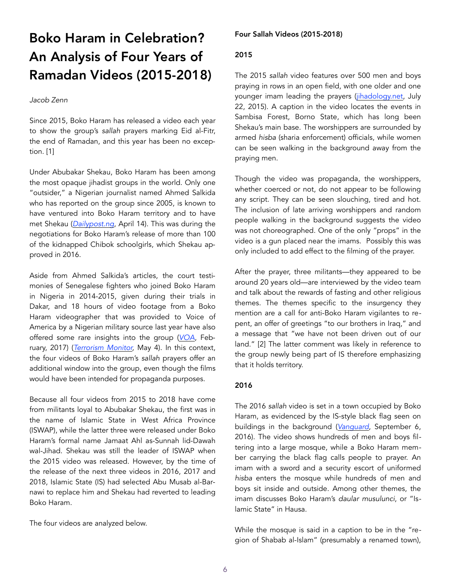### Boko Haram in Celebration? An Analysis of Four Years of Ramadan Videos (2015-2018)

#### *Jacob Zenn*

Since 2015, Boko Haram has released a video each year to show the group's *sallah* prayers marking Eid al-Fitr, the end of Ramadan, and this year has been no exception. [1]

Under Abubakar Shekau, Boko Haram has been among the most opaque jihadist groups in the world. Only one "outsider," a Nigerian journalist named Ahmed Salkida who has reported on the group since 2005, is known to have ventured into Boko Haram territory and to have met Shekau (*[Dailypost.ng](http://dailypost.ng/2018/04/14/ahmad-salkida-makes-shocking-revelations-boko-haram-says-15-chibok-girls-still-alive/)*, April 14). This was during the negotiations for Boko Haram's release of more than 100 of the kidnapped Chibok schoolgirls, which Shekau approved in 2016.

Aside from Ahmed Salkida's articles, the court testimonies of Senegalese fighters who joined Boko Haram in Nigeria in 2014-2015, given during their trials in Dakar, and 18 hours of video footage from a Boko Haram videographer that was provided to Voice of America by a Nigerian military source last year have also offered some rare insights into the group (*[VOA](https://projects.voanews.com/boko-haram-terror-unmasked/)*, February, 2017) (*[Terrorism Monitor,](https://jamestown.org/program/boko-harams-senegalese-foreign-fighters-cases-trends-and-implications/)* May 4). In this context, the four videos of Boko Haram's *sallah* prayers offer an additional window into the group, even though the films would have been intended for propaganda purposes.

Because all four videos from 2015 to 2018 have come from militants loyal to Abubakar Shekau, the first was in the name of Islamic State in West Africa Province (ISWAP), while the latter three were released under Boko Haram's formal name Jamaat Ahl as-Sunnah lid-Dawah wal-Jihad. Shekau was still the leader of ISWAP when the 2015 video was released. However, by the time of the release of the next three videos in 2016, 2017 and 2018, Islamic State (IS) had selected Abu Musab al-Barnawi to replace him and Shekau had reverted to leading Boko Haram.

The four videos are analyzed below.

#### Four Sallah Videos (2015-2018)

#### 2015

The 2015 *sallah* video features over 500 men and boys praying in rows in an open field, with one older and one younger imam leading the prayers [\(jihadology.net,](https://jihadology.net/2015/07/22/new-video-message-from-the-islamic-state-id-prayers-and-a-sermon-from-wilayat-gharb-ifriqiyyah/) July 22, 2015). A caption in the video locates the events in Sambisa Forest, Borno State, which has long been Shekau's main base. The worshippers are surrounded by armed *hisba* (sharia enforcement) officials, while women can be seen walking in the background away from the praying men.

Though the video was propaganda, the worshippers, whether coerced or not, do not appear to be following any script. They can be seen slouching, tired and hot. The inclusion of late arriving worshippers and random people walking in the background suggests the video was not choreographed. One of the only "props" in the video is a gun placed near the imams. Possibly this was only included to add effect to the filming of the prayer.

After the prayer, three militants—they appeared to be around 20 years old—are interviewed by the video team and talk about the rewards of fasting and other religious themes. The themes specific to the insurgency they mention are a call for anti-Boko Haram vigilantes to repent, an offer of greetings "to our brothers in Iraq," and a message that "we have not been driven out of our land." [2] The latter comment was likely in reference to the group newly being part of IS therefore emphasizing that it holds territory.

#### 2016

The 2016 *sallah* video is set in a town occupied by Boko Haram, as evidenced by the IS-style black flag seen on buildings in the background (*[Vanguard](https://www.vanguardngr.com/2016/09/video-thousands-of-boko-haram-members-praying-during-sallah/)*, September 6, 2016). The video shows hundreds of men and boys filtering into a large mosque, while a Boko Haram member carrying the black flag calls people to prayer. An imam with a sword and a security escort of uniformed *hisba* enters the mosque while hundreds of men and boys sit inside and outside. Among other themes, the imam discusses Boko Haram's *daular musulunci*, or "Islamic State" in Hausa.

While the mosque is said in a caption to be in the "region of Shabab al-Islam" (presumably a renamed town),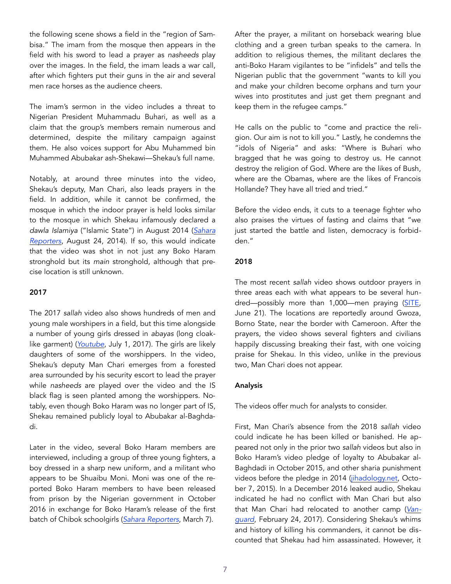the following scene shows a field in the "region of Sambisa." The imam from the mosque then appears in the field with his sword to lead a prayer as *nasheeds* play over the images. In the field, the imam leads a war call, after which fighters put their guns in the air and several men race horses as the audience cheers.

The imam's sermon in the video includes a threat to Nigerian President Muhammadu Buhari, as well as a claim that the group's members remain numerous and determined, despite the military campaign against them. He also voices support for Abu Muhammed bin Muhammed Abubakar ash-Shekawi—Shekau's full name.

Notably, at around three minutes into the video, Shekau's deputy, Man Chari, also leads prayers in the field. In addition, while it cannot be confirmed, the mosque in which the indoor prayer is held looks similar to the mosque in which Shekau infamously declared a *dawla Islamiya* ("Islamic State") in August 2014 (*[Sahara](http://saharareporters.com/2014/08/24/new-gruesome-video-boko-haram-declares-caliphate-shows-scenes-fleeing-soldiers-civilian)  [Reporters](http://saharareporters.com/2014/08/24/new-gruesome-video-boko-haram-declares-caliphate-shows-scenes-fleeing-soldiers-civilian)*, August 24, 2014). If so, this would indicate that the video was shot in not just any Boko Haram stronghold but its *main* stronghold, although that precise location is still unknown.

#### 2017

The 2017 *sallah* video also shows hundreds of men and young male worshipers in a field, but this time alongside a number of young girls dressed in *abayas* (long cloaklike garment) (*[Youtube](https://www.youtube.com/watch?v=53nTzMRtrt8)*, July 1, 2017). The girls are likely daughters of some of the worshippers. In the video, Shekau's deputy Man Chari emerges from a forested area surrounded by his security escort to lead the prayer while *nasheeds* are played over the video and the IS black flag is seen planted among the worshippers. Notably, even though Boko Haram was no longer part of IS, Shekau remained publicly loyal to Abubakar al-Baghdadi.

Later in the video, several Boko Haram members are interviewed, including a group of three young fighters, a boy dressed in a sharp new uniform, and a militant who appears to be Shuaibu Moni. Moni was one of the reported Boko Haram members to have been released from prison by the Nigerian government in October 2016 in exchange for Boko Haram's release of the first batch of Chibok schoolgirls (*[Sahara Reporters](http://saharareporters.com/2018/03/07/boko-haram-commander-freed-chibok-girls-swap-deal-resurfaces-issues-fresh-threat-against)*, March 7).

After the prayer, a militant on horseback wearing blue clothing and a green turban speaks to the camera. In addition to religious themes, the militant declares the anti-Boko Haram vigilantes to be "infidels" and tells the Nigerian public that the government "wants to kill you and make your children become orphans and turn your wives into prostitutes and just get them pregnant and keep them in the refugee camps."

He calls on the public to "come and practice the religion. Our aim is not to kill you." Lastly, he condemns the "idols of Nigeria" and asks: "Where is Buhari who bragged that he was going to destroy us. He cannot destroy the religion of God. Where are the likes of Bush, where are the Obamas, where are the likes of Francois Hollande? They have all tried and tried."

Before the video ends, it cuts to a teenage fighter who also praises the virtues of fasting and claims that "we just started the battle and listen, democracy is forbidden."

#### 2018

The most recent *sallah* video shows outdoor prayers in three areas each with what appears to be several hundred—possibly more than 1,000—men praying [\(SITE,](http://sitemultimedia.org/video/SITE_BH_Eid_Fitr2018.mp4) June 21). The locations are reportedly around Gwoza, Borno State, near the border with Cameroon. After the prayers, the video shows several fighters and civilians happily discussing breaking their fast, with one voicing praise for Shekau. In this video, unlike in the previous two, Man Chari does not appear.

#### Analysis

The videos offer much for analysts to consider.

First, Man Chari's absence from the 2018 *sallah* video could indicate he has been killed or banished. He appeared not only in the prior two *sallah* videos but also in Boko Haram's video pledge of loyalty to Abubakar al-Baghdadi in October 2015, and other sharia punishment videos before the pledge in 2014 ([jihadology.net,](https://jihadology.net/2015/10/07/new-video-message-from-the-islamic-state-messages-from-the-soldiers-of-the-caliphate-in-wilayat-gharb-ifriqiyyah/) October 7, 2015). In a December 2016 leaked audio, Shekau indicated he had no conflict with Man Chari but also that Man Chari had relocated to another camp (*[Van](https://www.vanguardngr.com/2017/02/abubakar-shekau-kills-boko-harams-spokesman-leadership-plot/)[guard](https://www.vanguardngr.com/2017/02/abubakar-shekau-kills-boko-harams-spokesman-leadership-plot/)*, February 24, 2017). Considering Shekau's whims and history of killing his commanders, it cannot be discounted that Shekau had him assassinated. However, it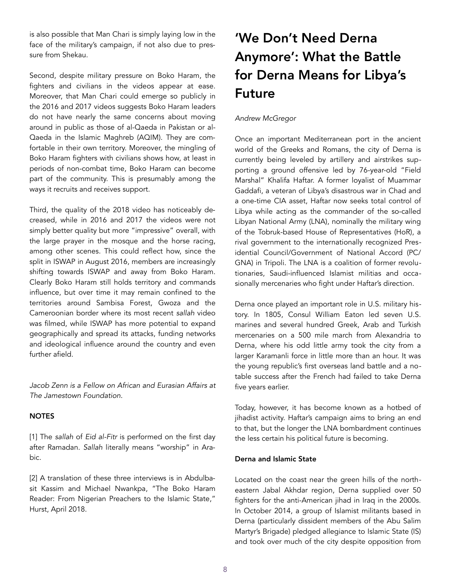is also possible that Man Chari is simply laying low in the face of the military's campaign, if not also due to pressure from Shekau.

Second, despite military pressure on Boko Haram, the fighters and civilians in the videos appear at ease. Moreover, that Man Chari could emerge so publicly in the 2016 and 2017 videos suggests Boko Haram leaders do not have nearly the same concerns about moving around in public as those of al-Qaeda in Pakistan or al-Qaeda in the Islamic Maghreb (AQIM). They are comfortable in their own territory. Moreover, the mingling of Boko Haram fighters with civilians shows how, at least in periods of non-combat time, Boko Haram can become part of the community. This is presumably among the ways it recruits and receives support.

Third, the quality of the 2018 video has noticeably decreased, while in 2016 and 2017 the videos were not simply better quality but more "impressive" overall, with the large prayer in the mosque and the horse racing, among other scenes. This could reflect how, since the split in ISWAP in August 2016, members are increasingly shifting towards ISWAP and away from Boko Haram. Clearly Boko Haram still holds territory and commands influence, but over time it may remain confined to the territories around Sambisa Forest, Gwoza and the Cameroonian border where its most recent *sallah* video was filmed, while ISWAP has more potential to expand geographically and spread its attacks, funding networks and ideological influence around the country and even further afield.

*Jacob Zenn is a Fellow on African and Eurasian Affairs at The Jamestown Foundation.* 

#### **NOTES**

[1] The *sallah* of *Eid al-Fitr* is performed on the first day after Ramadan. *Sallah* literally means "worship" in Arabic.

[2] A translation of these three interviews is in Abdulbasit Kassim and Michael Nwankpa, "The Boko Haram Reader: From Nigerian Preachers to the Islamic State," Hurst, April 2018.

# 'We Don't Need Derna Anymore': What the Battle for Derna Means for Libya's Future

#### *Andrew McGregor*

Once an important Mediterranean port in the ancient world of the Greeks and Romans, the city of Derna is currently being leveled by artillery and airstrikes supporting a ground offensive led by 76-year-old "Field Marshal" Khalifa Haftar. A former loyalist of Muammar Gaddafi, a veteran of Libya's disastrous war in Chad and a one-time CIA asset, Haftar now seeks total control of Libya while acting as the commander of the so-called Libyan National Army (LNA), nominally the military wing of the Tobruk-based House of Representatives (HoR), a rival government to the internationally recognized Presidential Council/Government of National Accord (PC/ GNA) in Tripoli. The LNA is a coalition of former revolutionaries, Saudi-influenced Islamist militias and occasionally mercenaries who fight under Haftar's direction.

Derna once played an important role in U.S. military history. In 1805, Consul William Eaton led seven U.S. marines and several hundred Greek, Arab and Turkish mercenaries on a 500 mile march from Alexandria to Derna, where his odd little army took the city from a larger Karamanli force in little more than an hour. It was the young republic's first overseas land battle and a notable success after the French had failed to take Derna five years earlier.

Today, however, it has become known as a hotbed of jihadist activity. Haftar's campaign aims to bring an end to that, but the longer the LNA bombardment continues the less certain his political future is becoming.

#### Derna and Islamic State

Located on the coast near the green hills of the northeastern Jabal Akhdar region, Derna supplied over 50 fighters for the anti-American jihad in Iraq in the 2000s. In October 2014, a group of Islamist militants based in Derna (particularly dissident members of the Abu Salim Martyr's Brigade) pledged allegiance to Islamic State (IS) and took over much of the city despite opposition from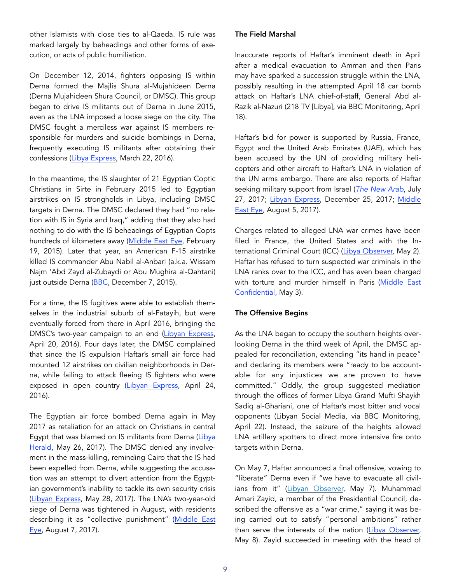other Islamists with close ties to al-Qaeda. IS rule was marked largely by beheadings and other forms of execution, or acts of public humiliation.

On December 12, 2014, fighters opposing IS within Derna formed the Majlis Shura al-Mujahideen Derna (Derna Mujahideen Shura Council, or DMSC). This group began to drive IS militants out of Derna in June 2015, even as the LNA imposed a loose siege on the city. The DMSC fought a merciless war against IS members responsible for murders and suicide bombings in Derna, frequently executing IS militants after obtaining their confessions ([Libya Express](http://www.libyanexpress.com/derna-shura-council-executes-eight-isis-men/), March 22, 2016).

In the meantime, the IS slaughter of 21 Egyptian Coptic Christians in Sirte in February 2015 led to Egyptian airstrikes on IS strongholds in Libya, including DMSC targets in Derna. The DMSC declared they had "no relation with IS in Syria and Iraq," adding that they also had nothing to do with the IS beheadings of Egyptian Copts hundreds of kilometers away [\(Middle East Eye](http://www.middleeasteye.net/news/libyas-derna-militia-denies-links-111565111), February 19, 2015). Later that year, an American F-15 airstrike killed IS commander Abu Nabil al-Anbari (a.k.a. Wissam Najm 'Abd Zayd al-Zubaydi or Abu Mughira al-Qahtani) just outside Derna ([BBC](https://www.bbc.com/news/world-africa-35034289), December 7, 2015).

For a time, the IS fugitives were able to establish themselves in the industrial suburb of al-Fatayih, but were eventually forced from there in April 2016, bringing the DMSC's two-year campaign to an end ([Libyan Express,](http://www.libyanexpress.com/derna-is-free-of-isis-the-citys-shura-council-announces/) April 20, 2016). Four days later, the DMSC complained that since the IS expulsion Haftar's small air force had mounted 12 airstrikes on civilian neighborhoods in Derna, while failing to attack fleeing IS fighters who were exposed in open country ([Libyan Express,](http://www.libyanexpress.com/derna-shura-council-haftars-forces-bombs-derna-to-steal-victory-over-isis/) April 24, 2016).

The Egyptian air force bombed Derna again in May 2017 as retaliation for an attack on Christians in central Egypt that was blamed on IS militants from Derna [\(Libya](https://www.libyaherald.com/2017/05/26/egypt-bombs-derna-in-retaliation-for-latest-is-christian-massacre/)  [Herald,](https://www.libyaherald.com/2017/05/26/egypt-bombs-derna-in-retaliation-for-latest-is-christian-massacre/) May 26, 2017). The DMSC denied any involvement in the mass-killing, reminding Cairo that the IS had been expelled from Derna, while suggesting the accusation was an attempt to divert attention from the Egyptian government's inability to tackle its own security crisis ([Libyan Express,](http://www.libyanexpress.com/derna-shura-council-denies-links-to-attack-on-copts-in-minya-egypt/) May 28, 2017). The LNA's two-year-old siege of Derna was tightened in August, with residents describing it as "collective punishment" (Middle East [Eye](http://www.middleeasteye.net/news/libya-s-derna-has-been-cut-rest-country-renewed-siege-city-enters-its-1979261044), August 7, 2017).

#### The Field Marshal

Inaccurate reports of Haftar's imminent death in April after a medical evacuation to Amman and then Paris may have sparked a succession struggle within the LNA, possibly resulting in the attempted April 18 car bomb attack on Haftar's LNA chief-of-staff, General Abd al-Razik al-Nazuri (218 TV [Libya], via BBC Monitoring, April 18).

Haftar's bid for power is supported by Russia, France, Egypt and the United Arab Emirates (UAE), which has been accused by the UN of providing military helicopters and other aircraft to Haftar's LNA in violation of the UN arms embargo. There are also reports of Haftar seeking military support from Israel (*[The New Arab](http://www.libyanexpress.com/libyan-eastern-chief-haftar-receiving-israeli-military-aid-brokered-by-uae-report/)*, July 27, 2017; [Libyan Express](http://www.libyanexpress.com/libyas-eastern-commander-carrying-out-clandestine-deals-with-israel/), December 25, 2017; [Middle](http://www.libyanexpress.com/report-scandalizes-israeli-military-support-for-haftar-in-east-libya/)  [East Eye,](http://www.libyanexpress.com/report-scandalizes-israeli-military-support-for-haftar-in-east-libya/) August 5, 2017).

Charges related to alleged LNA war crimes have been filed in France, the United States and with the International Criminal Court (ICC) ([Libya Observer,](https://www.libyaobserver.ly/news/complaint-filed-french-prosecutor-general-over-crimes-committed-libya-warlord-haftar) May 2). Haftar has refused to turn suspected war criminals in the LNA ranks over to the ICC, and has even been charged with torture and murder himself in Paris ([Middle East](https://me-confidential.com/19345-libya-haftar-sued-in-paris-for-torture-practices-in-benghazi.html)  [Confidential,](https://me-confidential.com/19345-libya-haftar-sued-in-paris-for-torture-practices-in-benghazi.html) May 3).

#### The Offensive Begins

As the LNA began to occupy the southern heights overlooking Derna in the third week of April, the DMSC appealed for reconciliation, extending "its hand in peace" and declaring its members were "ready to be accountable for any injustices we are proven to have committed." Oddly, the group suggested mediation through the offices of former Libya Grand Mufti Shaykh Sadiq al-Ghariani, one of Haftar's most bitter and vocal opponents (Libyan Social Media, via BBC Monitoring, April 22). Instead, the seizure of the heights allowed LNA artillery spotters to direct more intensive fire onto targets within Derna.

On May 7, Haftar announced a final offensive, vowing to "liberate" Derna even if "we have to evacuate all civilians from it" [\(Libyan Observer,](https://www.libyaobserver.ly/news/seven-fighters-libya-east-forces-killed-fighting-gets-heavy-derna) May 7). Muhammad Amari Zayid, a member of the Presidential Council, described the offensive as a "war crime," saying it was being carried out to satisfy "personal ambitions" rather than serve the interests of the nation ([Libya Observer,](https://www.libyaobserver.ly/news/presidential-council-member-strongly-condemns-derna-attack) May 8). Zayid succeeded in meeting with the head of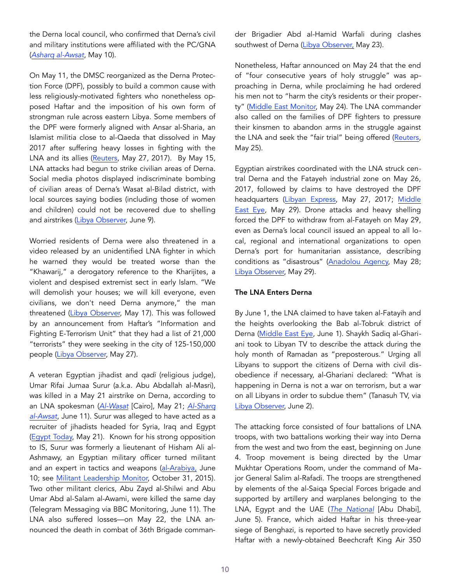the Derna local council, who confirmed that Derna's civil and military institutions were affiliated with the PC/GNA (*[Asharq al-Awsat](https://aawsat.com/english/home/article/1264031/libya%E2%80%99s-high-state-council-urges-end-derna-military-campaign)*, May 10).

On May 11, the DMSC reorganized as the Derna Protection Force (DPF), possibly to build a common cause with less religiously-motivated fighters who nonetheless opposed Haftar and the imposition of his own form of strongman rule across eastern Libya. Some members of the DPF were formerly aligned with Ansar al-Sharia, an Islamist militia close to al-Qaeda that dissolved in May 2017 after suffering heavy losses in fighting with the LNA and its allies ([Reuters](https://uk.reuters.com/article/uk-libya-security-idUKKBN18N0YZ), May 27, 2017). By May 15, LNA attacks had begun to strike civilian areas of Derna. Social media photos displayed indiscriminate bombing of civilian areas of Derna's Wasat al-Bilad district, with local sources saying bodies (including those of women and children) could not be recovered due to shelling and airstrikes ([Libya Observer,](https://www.libyaobserver.ly/inbrief/civilians-flee-derna-dignity-operation-continues-shelling-and-airstrikes) June 9).

Worried residents of Derna were also threatened in a video released by an unidentified LNA fighter in which he warned they would be treated worse than the "Khawarij," a derogatory reference to the Kharijites, a violent and despised extremist sect in early Islam. "We will demolish your houses; we will kill everyone, even civilians, we don't need Derna anymore," the man threatened [\(Libya Observer,](https://www.libyaobserver.ly/news/video-gunman-loyal-warlord-haftar-threatens-derna-civilians-beheading-and-house-demolishing) May 17). This was followed by an announcement from Haftar's "Information and Fighting E-Terrorism Unit" that they had a list of 21,000 "terrorists" they were seeking in the city of 125-150,000 people [\(Libya Observer,](https://www.libyaobserver.ly/news/dignity-operation-has-21000-wanted-people-derna) May 27).

A veteran Egyptian jihadist and *qadi* (religious judge), Umar Rifai Jumaa Surur (a.k.a. Abu Abdallah al-Masri), was killed in a May 21 airstrike on Derna, according to an LNA spokesman (*[Al-Wasat](http://en.alwasat.ly/news/libya/206477)* [Cairo], May 21; *[Al-Sharq](https://aawsat.com/english/home/article/1297171/libya-senior-extremist-leaders-killed-derna)  [al-Awsat](https://aawsat.com/english/home/article/1297171/libya-senior-extremist-leaders-killed-derna)*, June 11). Surur was alleged to have acted as a recruiter of jihadists headed for Syria, Iraq and Egypt ([Egypt Today,](https://www.egypttoday.com/Article/1/50556/Five-terrorists-turn-themselves-in-to-Libya-Army-Sabra) May 21). Known for his strong opposition to IS, Surur was formerly a lieutenant of Hisham Ali al-Ashmawy, an Egyptian military officer turned militant and an expert in tactics and weapons ([al-Arabiya,](http://english.alarabiya.net/en/News/north-africa/2018/06/10/Libyan-army-air-raid-kills-Egyptian-al-Qaeda-leader-in-Derna.html) June 10; see [Militant Leadership Monitor,](https://jamestown.org/program/egypts-most-wanted-hisham-ali-ashmawy-mosaad-ibrahim/) October 31, 2015). Two other militant clerics, Abu Zayd al-Shilwi and Abu Umar Abd al-Salam al-Awami, were killed the same day (Telegram Messaging via BBC Monitoring, June 11). The LNA also suffered losses—on May 22, the LNA announced the death in combat of 36th Brigade commander Brigadier Abd al-Hamid Warfali during clashes southwest of Derna [\(Libya Observer,](https://www.libyaobserver.ly/inbrief/dignity-operation-suffer-casualties-they-attempt-advance-derna) May 23).

Nonetheless, Haftar announced on May 24 that the end of "four consecutive years of holy struggle" was approaching in Derna, while proclaiming he had ordered his men not to "harm the city's residents or their property" ([Middle East Monitor,](https://www.middleeastmonitor.com/20180524-libya-haftar-says-his-forces-to-liberate-derna-soon/) May 24). The LNA commander also called on the families of DPF fighters to pressure their kinsmen to abandon arms in the struggle against the LNA and seek the "fair trial" being offered ([Reuters,](http://www.defenceweb.co.za/index.php?option=com_content&view=article&id=51823:fighting-in-derna-has-devastating-impact-on-civilians--un&catid=49:National%20Security&Itemid=115) May 25).

Egyptian airstrikes coordinated with the LNA struck central Derna and the Fatayeh industrial zone on May 26, 2017, followed by claims to have destroyed the DPF headquarters ([Libyan Express,](http://www.libyanexpress.com/egyptian-warplanes-conduct-airstrikes-on-libyas-derna/) May 27, 2017; [Middle](http://www.middleeasteye.net/news/warplanes-hit-libyas-derna-again-witness-62609053)  [East Eye,](http://www.middleeasteye.net/news/warplanes-hit-libyas-derna-again-witness-62609053) May 29). Drone attacks and heavy shelling forced the DPF to withdraw from al-Fatayeh on May 29, even as Derna's local council issued an appeal to all local, regional and international organizations to open Derna's port for humanitarian assistance, describing conditions as "disastrous" ([Anadolou Agency,](https://www.aa.com.tr/en/africa/libya-haftar-forces-take-control-of-entrance-to-derna/1159170) May 28; [Libya Observer,](https://www.libyaobserver.ly/news/libya%E2%80%99s-derna-distress-call-amid-continuous-military-escalation) May 29).

#### The LNA Enters Derna

By June 1, the LNA claimed to have taken al-Fatayih and the heights overlooking the Bab al-Tobruk district of Derna [\(Middle East Eye,](http://www.middleeasteye.net/news/no-solution-libyan-activist-describes-city-ashes-battle-rages-derna-608233865) June 1). Shaykh Sadiq al-Ghariani took to Libyan TV to describe the attack during the holy month of Ramadan as "preposterous." Urging all Libyans to support the citizens of Derna with civil disobedience if necessary, al-Ghariani declared: "What is happening in Derna is not a war on terrorism, but a war on all Libyans in order to subdue them" (Tanasuh TV, via [Libya Observer,](https://www.libyaobserver.ly/news/grand-mufti-calls-libyans-declare-civil-disobedience-if-derna-shelling-does-not-stop) June 2).

The attacking force consisted of four battalions of LNA troops, with two battalions working their way into Derna from the west and two from the east, beginning on June 4. Troop movement is being directed by the Umar Mukhtar Operations Room, under the command of Major General Salim al-Rafadi. The troops are strengthened by elements of the al-Saiqa Special Forces brigade and supported by artillery and warplanes belonging to the LNA, Egypt and the UAE (*[The National](https://www.thenational.ae/world/mena/libyan-army-pushes-into-militia-controlled-derna-1.737292)* [Abu Dhabi], June 5). France, which aided Haftar in his three-year siege of Benghazi, is reported to have secretly provided Haftar with a newly-obtained Beechcraft King Air 350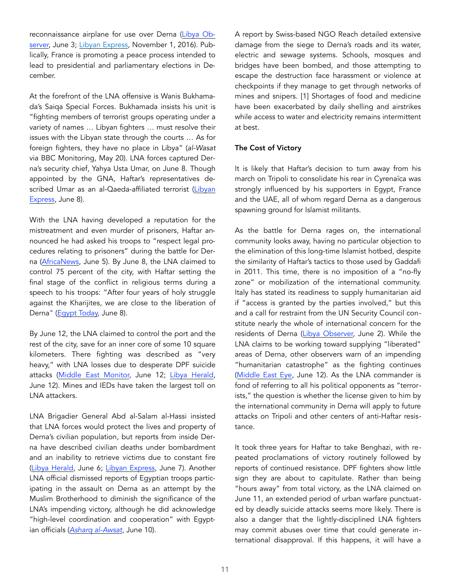reconnaissance airplane for use over Derna ([Libya Ob](https://www.libyaobserver.ly/news/report-haftar-could-have-upper-hand-derna-fighting-thanks-french-aircraft)[server,](https://www.libyaobserver.ly/news/report-haftar-could-have-upper-hand-derna-fighting-thanks-french-aircraft) June 3; [Libyan Express,](http://www.libyanexpress.com/uaes-military-base-in-east-libya-is-shared-with-french-troops-to-support-haftar/) November 1, 2016). Publically, France is promoting a peace process intended to lead to presidential and parliamentary elections in December.

At the forefront of the LNA offensive is Wanis Bukhamada's Saiqa Special Forces. Bukhamada insists his unit is "fighting members of terrorist groups operating under a variety of names … Libyan fighters … must resolve their issues with the Libyan state through the courts … As for foreign fighters, they have no place in Libya" (*al-Wasat* via BBC Monitoring, May 20). LNA forces captured Derna's security chief, Yahya Usta Umar, on June 8. Though appointed by the GNA, Haftar's representatives described Umar as an al-Qaeda-affiliated terrorist ([Libyan](http://www.libyanexpress.com/derna-security-chief-captured-by-rival-force-in-east-libya/)  [Express](http://www.libyanexpress.com/derna-security-chief-captured-by-rival-force-in-east-libya/), June 8).

With the LNA having developed a reputation for the mistreatment and even murder of prisoners, Haftar announced he had asked his troops to "respect legal procedures relating to prisoners" during the battle for Der-na ([AfricaNews](http://www.africanews.com/2018/06/05/libya-s-haftar-says-victory-is-close-in-eastern-derna/), June 5). By June 8, the LNA claimed to control 75 percent of the city, with Haftar setting the final stage of the conflict in religious terms during a speech to his troops: "After four years of holy struggle against the Kharijites, we are close to the liberation of Derna" ([Egypt Today,](https://www.egypttoday.com/Article/2/51749/Derna-battle-%E2%80%93-step-towards-liberation-of-Libya) June 8).

By June 12, the LNA claimed to control the port and the rest of the city, save for an inner core of some 10 square kilometers. There fighting was described as "very heavy," with LNA losses due to desperate DPF suicide attacks [\(Middle East Monitor,](https://www.middleeastmonitor.com/20180612-haftar-forces-announce-capture-of-libyas-derna/) June 12; [Libya Herald,](https://www.libyaherald.com/2018/06/12/two-lna-deaths-and-three-injuries-in-latest-derna-fighting/) June 12). Mines and IEDs have taken the largest toll on LNA attackers.

LNA Brigadier General Abd al-Salam al-Hassi insisted that LNA forces would protect the lives and property of Derna's civilian population, but reports from inside Derna have described civilian deaths under bombardment and an inability to retrieve victims due to constant fire ([Libya Herald,](https://www.libyaherald.com/2018/06/06/lna-claims-it-is-now-in-control-of-75-percent-of-derna/) June 6; [Libyan Express](http://www.libyanexpress.com/libyas-derna-under-mass-killing-operation-residents-send-distress-signal/), June 7). Another LNA official dismissed reports of Egyptian troops participating in the assault on Derna as an attempt by the Muslim Brotherhood to diminish the significance of the LNA's impending victory, although he did acknowledge "high-level coordination and cooperation" with Egyptian officials (*[Asharq al-Awsat](https://aawsat.com/english/home/article/1295941/libya-lna%E2%80%99s-hafter-announce-pre-eid-victory-derna)*, June 10).

A report by Swiss-based NGO Reach detailed extensive damage from the siege to Derna's roads and its water, electric and sewage systems. Schools, mosques and bridges have been bombed, and those attempting to escape the destruction face harassment or violence at checkpoints if they manage to get through networks of mines and snipers. [1] Shortages of food and medicine have been exacerbated by daily shelling and airstrikes while access to water and electricity remains intermittent at best.

#### The Cost of Victory

It is likely that Haftar's decision to turn away from his march on Tripoli to consolidate his rear in Cyrenaïca was strongly influenced by his supporters in Egypt, France and the UAE, all of whom regard Derna as a dangerous spawning ground for Islamist militants.

As the battle for Derna rages on, the international community looks away, having no particular objection to the elimination of this long-time Islamist hotbed, despite the similarity of Haftar's tactics to those used by Gaddafi in 2011. This time, there is no imposition of a "no-fly zone" or mobilization of the international community. Italy has stated its readiness to supply humanitarian aid if "access is granted by the parties involved," but this and a call for restraint from the UN Security Council constitute nearly the whole of international concern for the residents of Derna ([Libya Observer,](https://www.libyaobserver.ly/inbrief/italy-un-mission-call-de-escalation-war-derna) June 2). While the LNA claims to be working toward supplying "liberated" areas of Derna, other observers warn of an impending "humanitarian catastrophe" as the fighting continues ([Middle East Eye,](http://www.middleeasteye.net/news/casualties-twin-suicide-attack-hits-eastern-libya-856090351) June 12). As the LNA commander is fond of referring to all his political opponents as "terrorists," the question is whether the license given to him by the international community in Derna will apply to future attacks on Tripoli and other centers of anti-Haftar resistance.

It took three years for Haftar to take Benghazi, with repeated proclamations of victory routinely followed by reports of continued resistance. DPF fighters show little sign they are about to capitulate. Rather than being "hours away" from total victory, as the LNA claimed on June 11, an extended period of urban warfare punctuated by deadly suicide attacks seems more likely. There is also a danger that the lightly-disciplined LNA fighters may commit abuses over time that could generate international disapproval. If this happens, it will have a